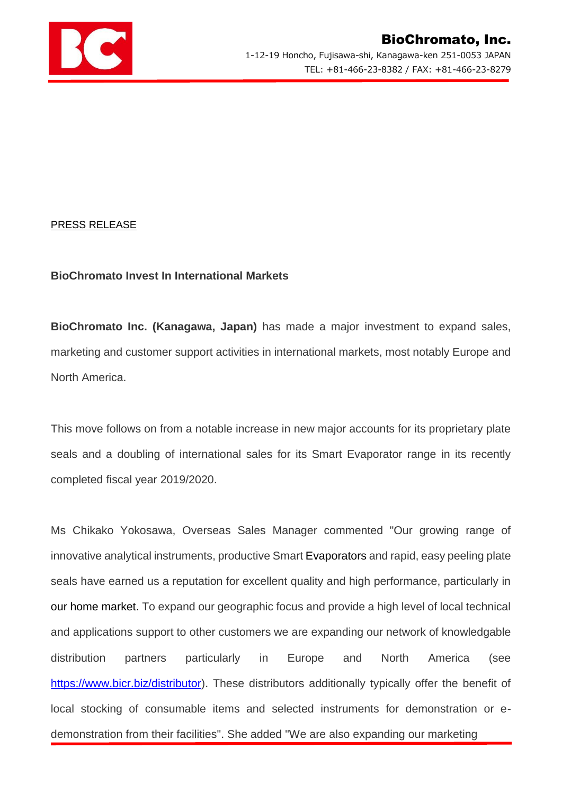

## PRESS RELEASE

## **BioChromato Invest In International Markets**

**BioChromato Inc. (Kanagawa, Japan)** has made a major investment to expand sales, marketing and customer support activities in international markets, most notably Europe and North America.

This move follows on from a notable increase in new major accounts for its proprietary plate seals and a doubling of international sales for its Smart Evaporator range in its recently completed fiscal year 2019/2020.

Ms Chikako Yokosawa, Overseas Sales Manager commented "Our growing range of innovative analytical instruments, productive Smart Evaporators and rapid, easy peeling plate seals have earned us a reputation for excellent quality and high performance, particularly in our home market. To expand our geographic focus and provide a high level of local technical and applications support to other customers we are expanding our network of knowledgable distribution partners particularly in Europe and North America (see [https://www.bicr.biz/distributor\)](https://www.bicr.biz/distributor). These distributors additionally typically offer the benefit of local stocking of consumable items and selected instruments for demonstration or edemonstration from their facilities". She added "We are also expanding our marketing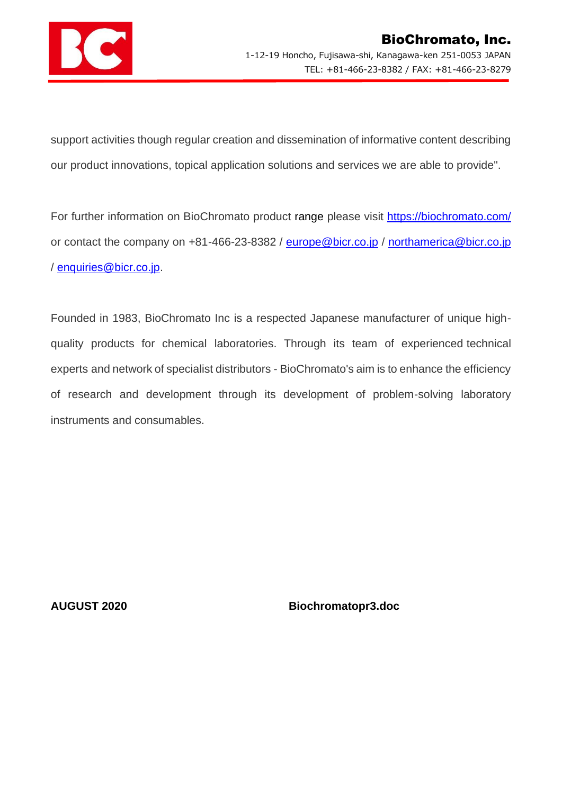

support activities though regular creation and dissemination of informative content describing our product innovations, topical application solutions and services we are able to provide".

For further information on BioChromato product range please visit<https://biochromato.com/> or contact the company on +81-466-23-8382 / [europe@bicr.co.jp](mailto:europe@bicr.co.jp) / [northamerica@bicr.co.jp](mailto:northamerica@bicr.co.jp) / [enquiries@bicr.co.jp.](mailto:enquiries@bicr.co.jp)

Founded in 1983, BioChromato Inc is a respected Japanese manufacturer of unique highquality products for chemical laboratories. Through its team of experienced technical experts and network of specialist distributors - BioChromato's aim is to enhance the efficiency of research and development through its development of problem-solving laboratory instruments and consumables.

**AUGUST 2020 Biochromatopr3.doc**